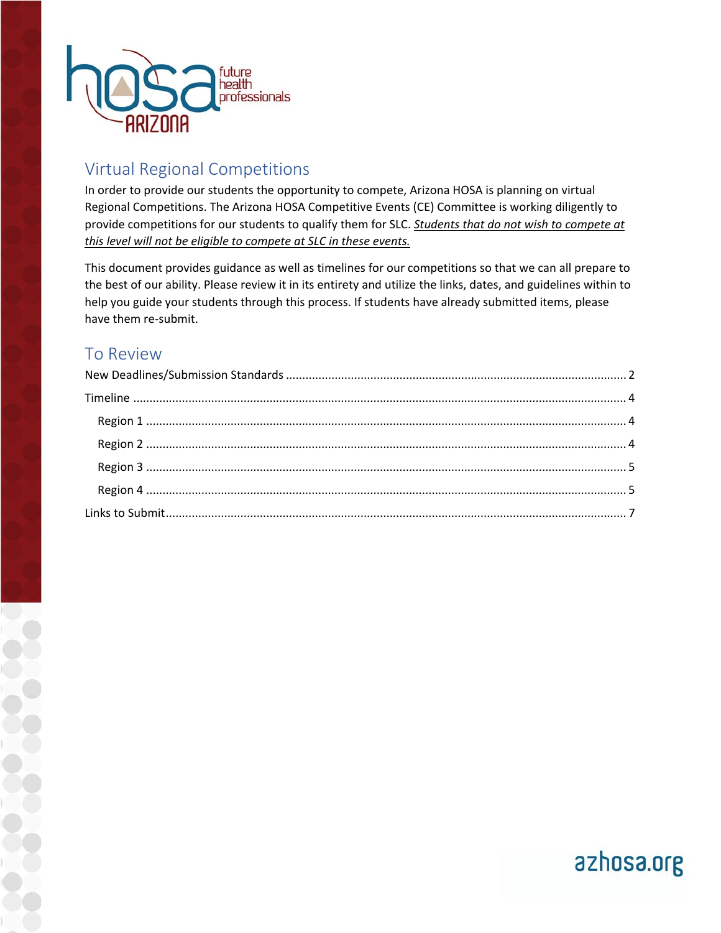

# Virtual Regional Competitions

In order to provide our students the opportunity to compete, Arizona HOSA is planning on virtual Regional Competitions. The Arizona HOSA Competitive Events (CE) Committee is working diligently to provide competitions for our students to qualify them for SLC. *Students that do not wish to compete at this level will not be eligible to compete at SLC in these events.*

This document provides guidance as well as timelines for our competitions so that we can all prepare to the best of our ability. Please review it in its entirety and utilize the links, dates, and guidelines within to help you guide your students through this process. If students have already submitted items, please have them re-submit.

## To Review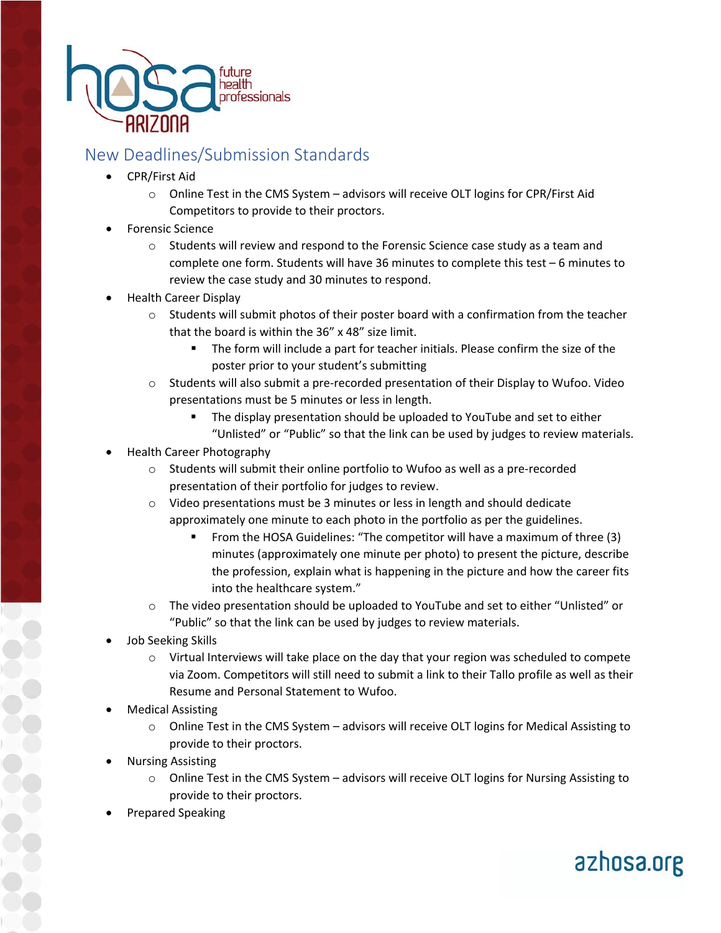

## <span id="page-1-0"></span>New Deadlines/Submission Standards

- CPR/First Aid
	- $\circ$  Online Test in the CMS System advisors will receive OLT logins for CPR/First Aid Competitors to provide to their proctors.
- Forensic Science
	- $\circ$  Students will review and respond to the Forensic Science case study as a team and complete one form. Students will have 36 minutes to complete this test – 6 minutes to review the case study and 30 minutes to respond.
- Health Career Display
	- $\circ$  Students will submit photos of their poster board with a confirmation from the teacher that the board is within the 36" x 48" size limit.
		- The form will include a part for teacher initials. Please confirm the size of the poster prior to your student's submitting
	- o Students will also submit a pre-recorded presentation of their Display to Wufoo. Video presentations must be 5 minutes or less in length.
		- The display presentation should be uploaded to YouTube and set to either "Unlisted" or "Public" so that the link can be used by judges to review materials.
- Health Career Photography
	- o Students will submit their online portfolio to Wufoo as well as a pre-recorded presentation of their portfolio for judges to review.
	- $\circ$  Video presentations must be 3 minutes or less in length and should dedicate approximately one minute to each photo in the portfolio as per the guidelines.
		- From the HOSA Guidelines: "The competitor will have a maximum of three (3) minutes (approximately one minute per photo) to present the picture, describe the profession, explain what is happening in the picture and how the career fits into the healthcare system."
	- $\circ$  The video presentation should be uploaded to YouTube and set to either "Unlisted" or "Public" so that the link can be used by judges to review materials.
- Job Seeking Skills
	- o Virtual Interviews will take place on the day that your region was scheduled to compete via Zoom. Competitors will still need to submit a link to their Tallo profile as well as their Resume and Personal Statement to Wufoo.
- Medical Assisting
	- o Online Test in the CMS System advisors will receive OLT logins for Medical Assisting to provide to their proctors.
- Nursing Assisting
	- o Online Test in the CMS System advisors will receive OLT logins for Nursing Assisting to provide to their proctors.

azhosa.org

• Prepared Speaking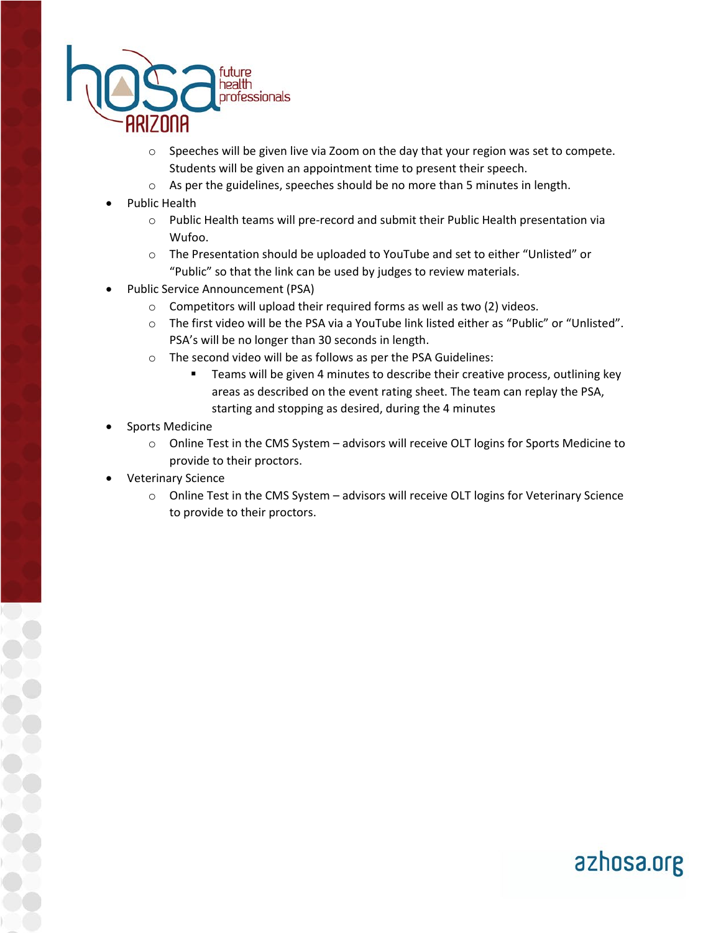

- $\circ$  Speeches will be given live via Zoom on the day that your region was set to compete. Students will be given an appointment time to present their speech.
- o As per the guidelines, speeches should be no more than 5 minutes in length.
- Public Health
	- o Public Health teams will pre-record and submit their Public Health presentation via Wufoo.
	- o The Presentation should be uploaded to YouTube and set to either "Unlisted" or "Public" so that the link can be used by judges to review materials.
- Public Service Announcement (PSA)
	- o Competitors will upload their required forms as well as two (2) videos.
	- o The first video will be the PSA via a YouTube link listed either as "Public" or "Unlisted". PSA's will be no longer than 30 seconds in length.
	- o The second video will be as follows as per the PSA Guidelines:
		- **Teams will be given 4 minutes to describe their creative process, outlining key** areas as described on the event rating sheet. The team can replay the PSA, starting and stopping as desired, during the 4 minutes
- Sports Medicine
	- o Online Test in the CMS System advisors will receive OLT logins for Sports Medicine to provide to their proctors.
- Veterinary Science
	- o Online Test in the CMS System advisors will receive OLT logins for Veterinary Science to provide to their proctors.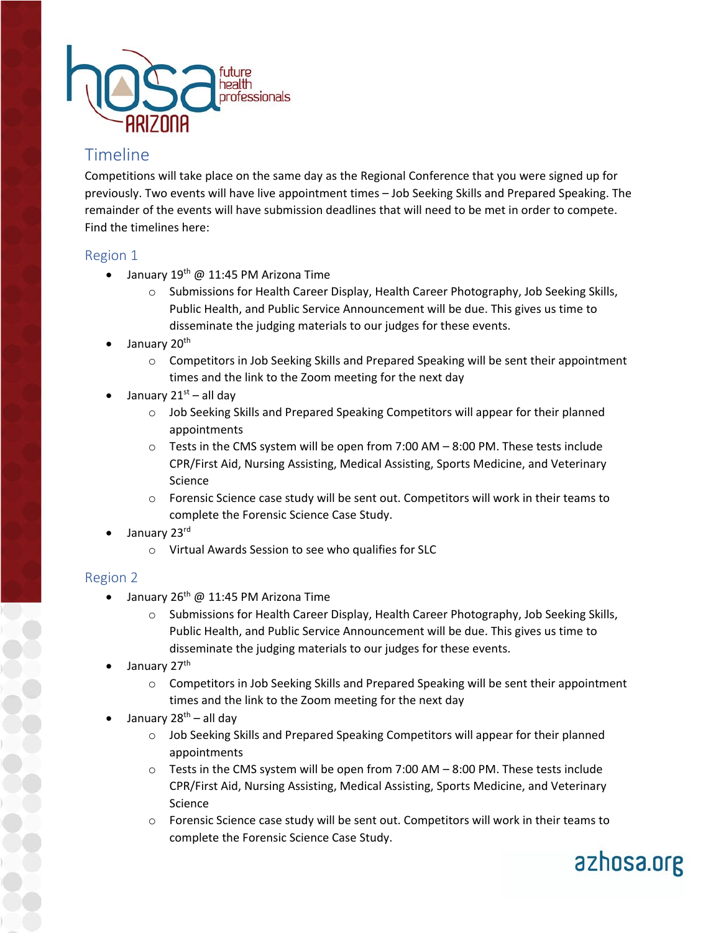

## <span id="page-3-0"></span>Timeline

Competitions will take place on the same day as the Regional Conference that you were signed up for previously. Two events will have live appointment times – Job Seeking Skills and Prepared Speaking. The remainder of the events will have submission deadlines that will need to be met in order to compete. Find the timelines here:

#### <span id="page-3-1"></span>Region 1

- January  $19^{th}$  @ 11:45 PM Arizona Time
	- o Submissions for Health Career Display, Health Career Photography, Job Seeking Skills, Public Health, and Public Service Announcement will be due. This gives us time to disseminate the judging materials to our judges for these events.
- January 20<sup>th</sup>
	- $\circ$  Competitors in Job Seeking Skills and Prepared Speaking will be sent their appointment times and the link to the Zoom meeting for the next day
- January  $21^{st}$  all day
	- o Job Seeking Skills and Prepared Speaking Competitors will appear for their planned appointments
	- o Tests in the CMS system will be open from 7:00 AM 8:00 PM. These tests include CPR/First Aid, Nursing Assisting, Medical Assisting, Sports Medicine, and Veterinary Science
	- o Forensic Science case study will be sent out. Competitors will work in their teams to complete the Forensic Science Case Study.
- January 23rd
	- o Virtual Awards Session to see who qualifies for SLC

#### <span id="page-3-2"></span>Region 2

- January  $26^{th}$  @ 11:45 PM Arizona Time
	- o Submissions for Health Career Display, Health Career Photography, Job Seeking Skills, Public Health, and Public Service Announcement will be due. This gives us time to disseminate the judging materials to our judges for these events.
- January 27<sup>th</sup>
	- $\circ$  Competitors in Job Seeking Skills and Prepared Speaking will be sent their appointment times and the link to the Zoom meeting for the next day
- January 28<sup>th</sup> all day
	- o Job Seeking Skills and Prepared Speaking Competitors will appear for their planned appointments
	- $\circ$  Tests in the CMS system will be open from 7:00 AM  $-$  8:00 PM. These tests include CPR/First Aid, Nursing Assisting, Medical Assisting, Sports Medicine, and Veterinary Science
	- $\circ$  Forensic Science case study will be sent out. Competitors will work in their teams to complete the Forensic Science Case Study.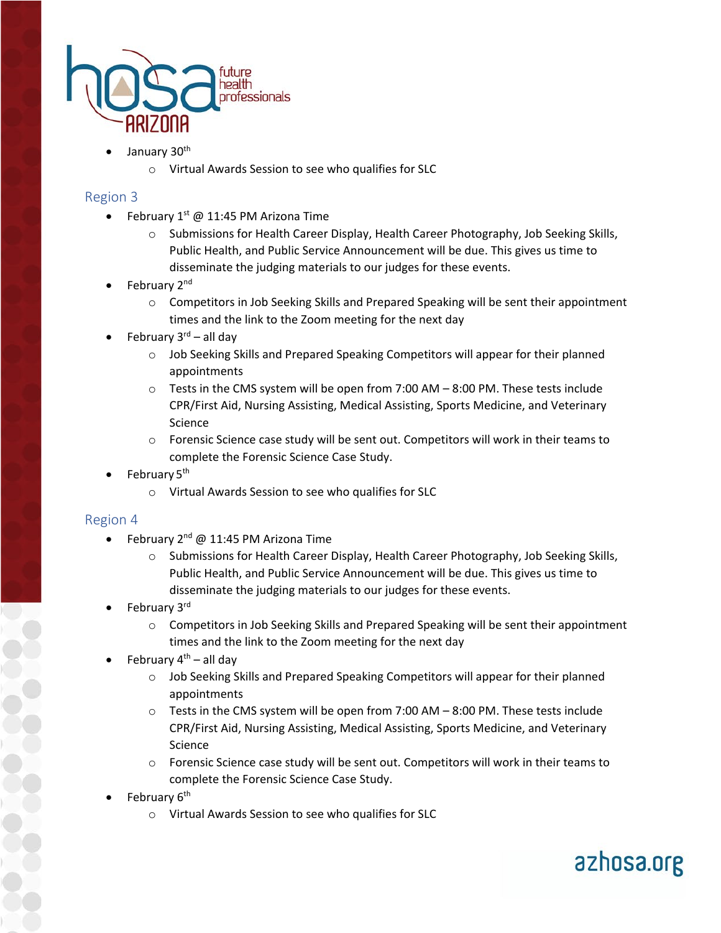

- January 30<sup>th</sup>
	- o Virtual Awards Session to see who qualifies for SLC

#### <span id="page-4-0"></span>Region 3

- February  $1^{st}$  @ 11:45 PM Arizona Time
	- o Submissions for Health Career Display, Health Career Photography, Job Seeking Skills, Public Health, and Public Service Announcement will be due. This gives us time to disseminate the judging materials to our judges for these events.
- February 2<sup>nd</sup>
	- o Competitors in Job Seeking Skills and Prepared Speaking will be sent their appointment times and the link to the Zoom meeting for the next day
- February  $3<sup>rd</sup>$  all day
	- $\circ$  Job Seeking Skills and Prepared Speaking Competitors will appear for their planned appointments
	- $\circ$  Tests in the CMS system will be open from 7:00 AM  $-$  8:00 PM. These tests include CPR/First Aid, Nursing Assisting, Medical Assisting, Sports Medicine, and Veterinary Science
	- $\circ$  Forensic Science case study will be sent out. Competitors will work in their teams to complete the Forensic Science Case Study.
- February 5<sup>th</sup>
	- o Virtual Awards Session to see who qualifies for SLC

#### <span id="page-4-1"></span>Region 4

- February 2nd @ 11:45 PM Arizona Time
	- o Submissions for Health Career Display, Health Career Photography, Job Seeking Skills, Public Health, and Public Service Announcement will be due. This gives us time to disseminate the judging materials to our judges for these events.
- February 3rd
	- $\circ$  Competitors in Job Seeking Skills and Prepared Speaking will be sent their appointment times and the link to the Zoom meeting for the next day
- February  $4^{th}$  all day
	- $\circ$  Job Seeking Skills and Prepared Speaking Competitors will appear for their planned appointments
	- o Tests in the CMS system will be open from 7:00 AM 8:00 PM. These tests include CPR/First Aid, Nursing Assisting, Medical Assisting, Sports Medicine, and Veterinary Science
	- $\circ$  Forensic Science case study will be sent out. Competitors will work in their teams to complete the Forensic Science Case Study.

- February 6<sup>th</sup>
	- o Virtual Awards Session to see who qualifies for SLC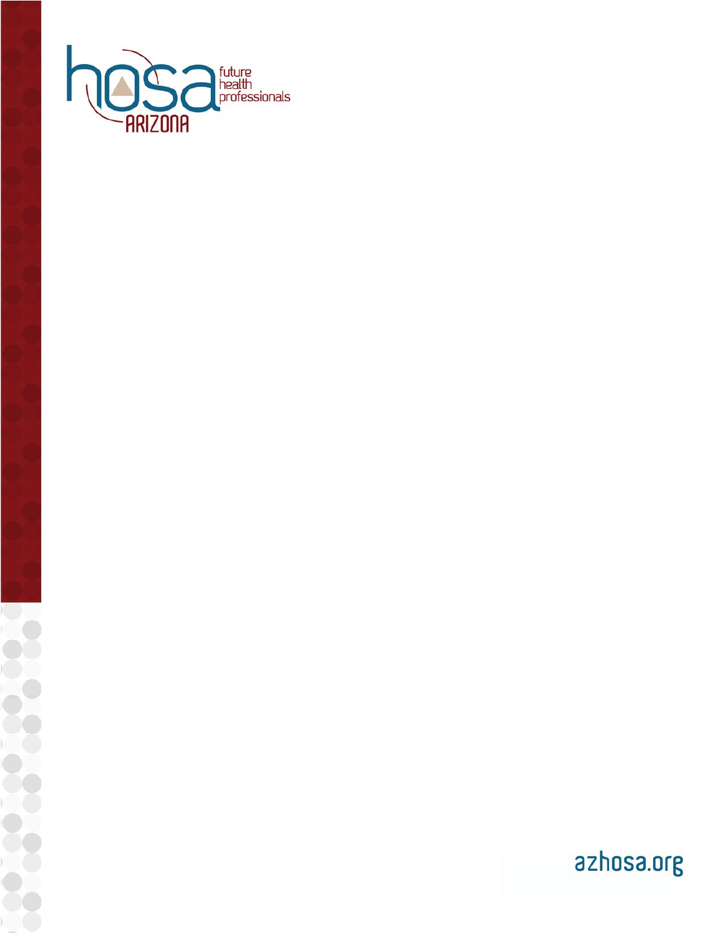